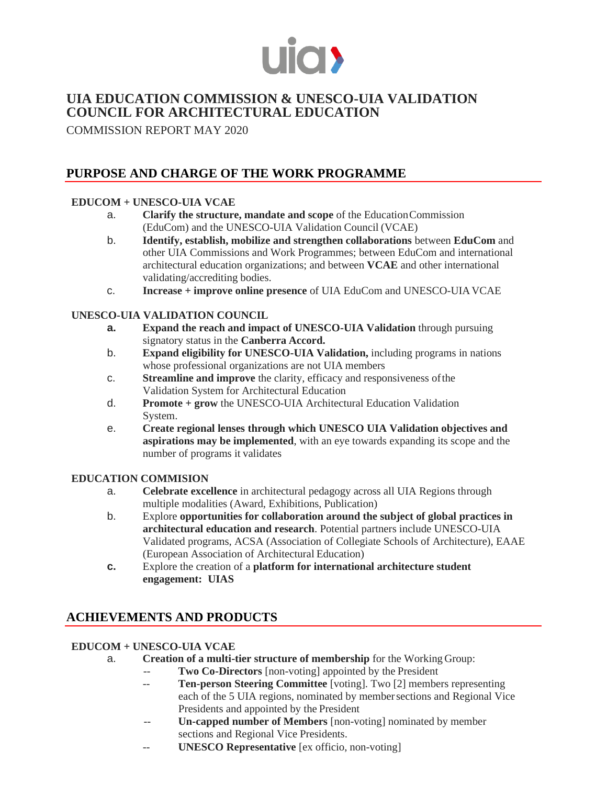

## **UIA EDUCATION COMMISSION & UNESCO-UIA VALIDATION COUNCIL FOR ARCHITECTURAL EDUCATION**

COMMISSION REPORT MAY 2020

# **PURPOSE AND CHARGE OF THE WORK PROGRAMME**

## **EDUCOM + UNESCO-UIA VCAE**

- a. **Clarify the structure, mandate and scope** of the EducationCommission (EduCom) and the UNESCO-UIA Validation Council (VCAE)
- b. **Identify, establish, mobilize and strengthen collaborations** between **EduCom** and other UIA Commissions and Work Programmes; between EduCom and international architectural education organizations; and between **VCAE** and other international validating/accrediting bodies.
- c. **Increase + improve online presence** of UIA EduCom and UNESCO-UIAVCAE

### **UNESCO-UIA VALIDATION COUNCIL**

- **a. Expand the reach and impact of UNESCO-UIA Validation** through pursuing signatory status in the **Canberra Accord.**
- b. **Expand eligibility for UNESCO-UIA Validation,** including programs in nations whose professional organizations are not UIA members
- c. **Streamline and improve** the clarity, efficacy and responsiveness ofthe Validation System for Architectural Education
- d. **Promote + grow** the UNESCO-UIA Architectural Education Validation System.
- e. **Create regional lenses through which UNESCO UIA Validation objectives and aspirations may be implemented**, with an eye towards expanding its scope and the number of programs it validates

### **EDUCATION COMMISION**

- a. **Celebrate excellence** in architectural pedagogy across all UIA Regions through multiple modalities (Award, Exhibitions, Publication)
- b. Explore **opportunities for collaboration around the subject of global practices in architectural education and research**. Potential partners include UNESCO-UIA Validated programs, ACSA (Association of Collegiate Schools of Architecture), EAAE (European Association of Architectural Education)
- **c.** Explore the creation of a **platform for international architecture student engagement: UIAS**

# **ACHIEVEMENTS AND PRODUCTS**

### **EDUCOM + UNESCO-UIA VCAE**

- a. **Creation of a multi-tier structure of membership** for the Working Group:
	- -- **Two Co-Directors** [non-voting] appointed by the President
	- -- **Ten-person Steering Committee** [voting]. Two [2] members representing each of the 5 UIA regions, nominated by membersections and Regional Vice Presidents and appointed by the President
	- **Un-capped number of Members** [non-voting] nominated by member sections and Regional Vice Presidents.
	- **UNESCO Representative** [ex officio, non-voting]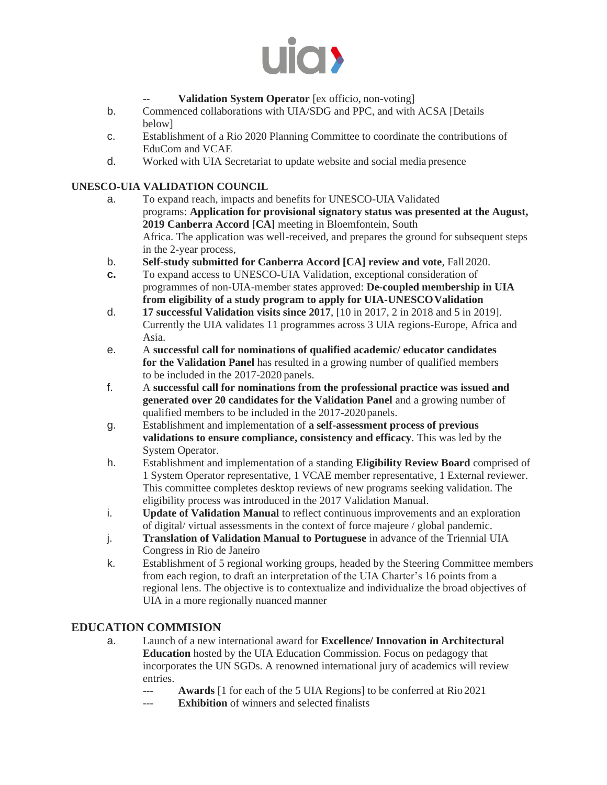

### Validation System Operator [ex officio, non-voting]

- b. Commenced collaborations with UIA/SDG and PPC, and with ACSA [Details below]
- c. Establishment of a Rio 2020 Planning Committee to coordinate the contributions of EduCom and VCAE
- d. Worked with UIA Secretariat to update website and social media presence

#### **UNESCO-UIA VALIDATION COUNCIL**

- a. To expand reach, impacts and benefits for UNESCO-UIA Validated programs: **Application for provisional signatory status was presented at the August, 2019 Canberra Accord [CA]** meeting in Bloemfontein, South Africa. The application was well-received, and prepares the ground for subsequent steps in the 2-year process,
- b. **Self-study submitted for Canberra Accord [CA] review and vote**, Fall 2020.
- **c.** To expand access to UNESCO-UIA Validation, exceptional consideration of programmes of non-UIA-member states approved: **De-coupled membership in UIA from eligibility of a study program to apply for UIA-UNESCOValidation**
- d. **17 successful Validation visits since 2017**, [10 in 2017, 2 in 2018 and 5 in 2019]. Currently the UIA validates 11 programmes across 3 UIA regions-Europe, Africa and Asia.
- e. A **successful call for nominations of qualified academic/ educator candidates for the Validation Panel** has resulted in a growing number of qualified members to be included in the 2017-2020 panels.
- f. A **successful call for nominations from the professional practice was issued and generated over 20 candidates for the Validation Panel** and a growing number of qualified members to be included in the 2017-2020panels.
- g. Establishment and implementation of **a self-assessment process of previous validations to ensure compliance, consistency and efficacy**. This was led by the System Operator.
- h. Establishment and implementation of a standing **Eligibility Review Board** comprised of 1 System Operator representative, 1 VCAE member representative, 1 External reviewer. This committee completes desktop reviews of new programs seeking validation. The eligibility process was introduced in the 2017 Validation Manual.
- i. **Update of Validation Manual** to reflect continuous improvements and an exploration of digital/ virtual assessments in the context of force majeure / global pandemic.
- j. **Translation of Validation Manual to Portuguese** in advance of the Triennial UIA Congress in Rio de Janeiro
- k. Establishment of 5 regional working groups, headed by the Steering Committee members from each region, to draft an interpretation of the UIA Charter's 16 points from a regional lens. The objective is to contextualize and individualize the broad objectives of UIA in a more regionally nuanced manner

### **EDUCATION COMMISION**

- a. Launch of a new international award for **Excellence/ Innovation in Architectural Education** hosted by the UIA Education Commission. Focus on pedagogy that incorporates the UN SGDs. A renowned international jury of academics will review entries.
	- Awards <sup>[1]</sup> for each of the 5 UIA Regions] to be conferred at Rio 2021
	- --- **Exhibition** of winners and selected finalists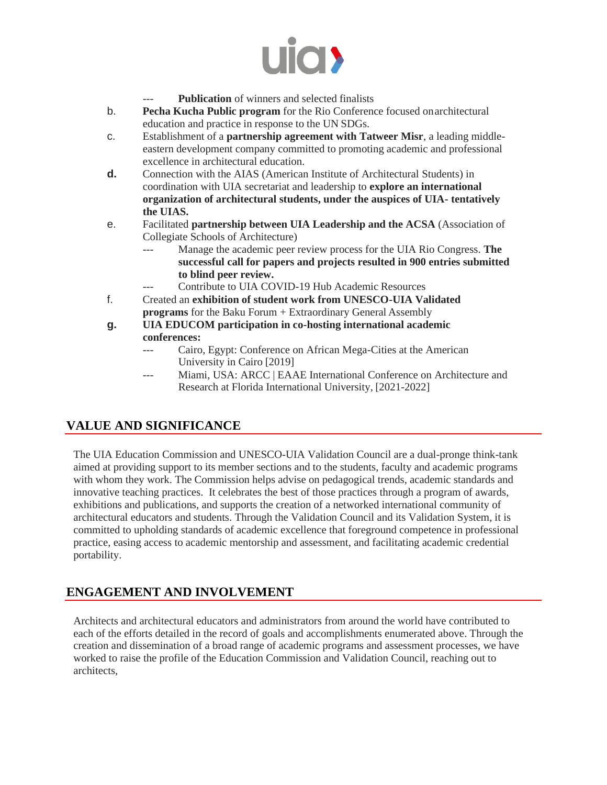

- Publication of winners and selected finalists
- b. **Pecha Kucha Public program** for the Rio Conference focused onarchitectural education and practice in response to the UN SDGs.
- c. Establishment of a **partnership agreement with Tatweer Misr**, a leading middleeastern development company committed to promoting academic and professional excellence in architectural education.
- **d.** Connection with the AIAS (American Institute of Architectural Students) in coordination with UIA secretariat and leadership to **explore an international organization of architectural students, under the auspices of UIA- tentatively the UIAS.**
- e. Facilitated **partnership between UIA Leadership and the ACSA** (Association of Collegiate Schools of Architecture)
	- --- Manage the academic peer review process for the UIA Rio Congress. **The successful call for papers and projects resulted in 900 entries submitted to blind peer review.**
		- Contribute to UIA COVID-19 Hub Academic Resources
- f. Created an **exhibition of student work from UNESCO-UIA Validated programs** for the Baku Forum + Extraordinary General Assembly
- **g. UIA EDUCOM participation in co-hosting international academic conferences:**
	- --- Cairo, Egypt: Conference on African Mega-Cities at the American University in Cairo [2019]
	- Miami, USA: ARCC | EAAE International Conference on Architecture and Research at Florida International University, [2021-2022]

## **VALUE AND SIGNIFICANCE**

The UIA Education Commission and UNESCO-UIA Validation Council are a dual-pronge think-tank aimed at providing support to its member sections and to the students, faculty and academic programs with whom they work. The Commission helps advise on pedagogical trends, academic standards and innovative teaching practices. It celebrates the best of those practices through a program of awards, exhibitions and publications, and supports the creation of a networked international community of architectural educators and students. Through the Validation Council and its Validation System, it is committed to upholding standards of academic excellence that foreground competence in professional practice, easing access to academic mentorship and assessment, and facilitating academic credential portability.

## **ENGAGEMENT AND INVOLVEMENT**

Architects and architectural educators and administrators from around the world have contributed to each of the efforts detailed in the record of goals and accomplishments enumerated above. Through the creation and dissemination of a broad range of academic programs and assessment processes, we have worked to raise the profile of the Education Commission and Validation Council, reaching out to architects,